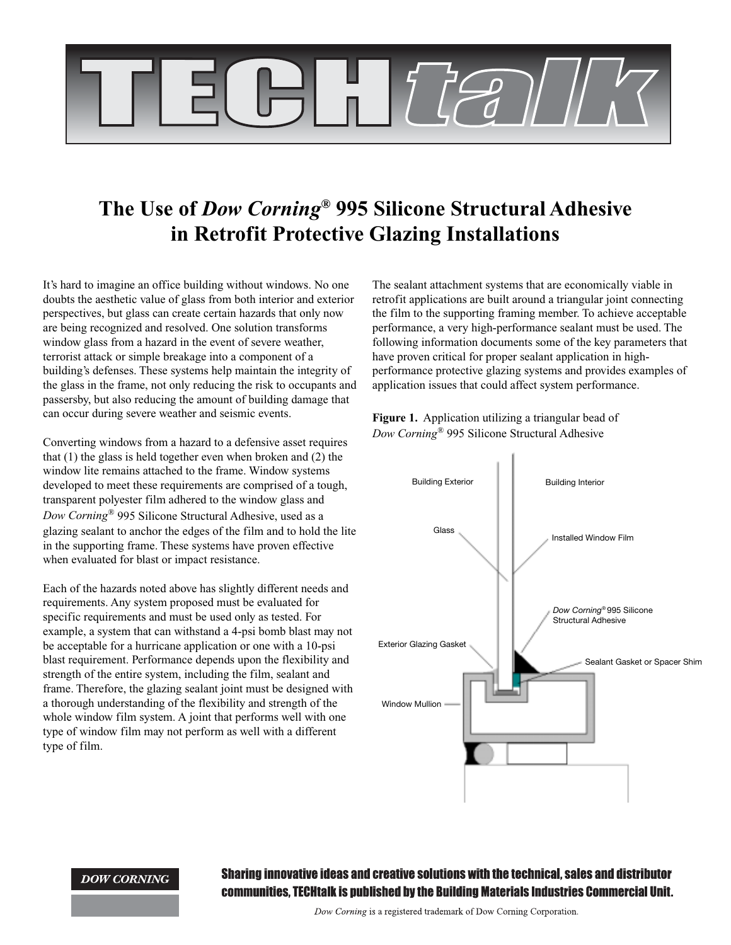

# **The Use of** *Dow Corning®* **995 Silicone Structural Adhesive in Retrofit Protective Glazing Installations**

It's hard to imagine an office building without windows. No one doubts the aesthetic value of glass from both interior and exterior perspectives, but glass can create certain hazards that only now are being recognized and resolved. One solution transforms window glass from a hazard in the event of severe weather, terrorist attack or simple breakage into a component of a building's defenses. These systems help maintain the integrity of the glass in the frame, not only reducing the risk to occupants and passersby, but also reducing the amount of building damage that can occur during severe weather and seismic events.

Converting windows from a hazard to a defensive asset requires that (1) the glass is held together even when broken and (2) the window lite remains attached to the frame. Window systems developed to meet these requirements are comprised of a tough, transparent polyester film adhered to the window glass and *Dow Corning*® 995 Silicone Structural Adhesive, used as a glazing sealant to anchor the edges of the film and to hold the lite in the supporting frame. These systems have proven effective when evaluated for blast or impact resistance.

Each of the hazards noted above has slightly different needs and requirements. Any system proposed must be evaluated for specific requirements and must be used only as tested. For example, a system that can withstand a 4-psi bomb blast may not be acceptable for a hurricane application or one with a 10-psi blast requirement. Performance depends upon the flexibility and strength of the entire system, including the film, sealant and frame. Therefore, the glazing sealant joint must be designed with a thorough understanding of the flexibility and strength of the whole window film system. A joint that performs well with one type of window film may not perform as well with a different type of film.

The sealant attachment systems that are economically viable in retrofit applications are built around a triangular joint connecting the film to the supporting framing member. To achieve acceptable performance, a very high-performance sealant must be used. The following information documents some of the key parameters that have proven critical for proper sealant application in highperformance protective glazing systems and provides examples of application issues that could affect system performance.

**Figure 1.** Application utilizing a triangular bead of *Dow Corning*® 995 Silicone Structural Adhesive



#### **DOW CORNING**

Sharing innovative ideas and creative solutions with the technical, sales and distributor communities. TECHtalk is published by the Building Materials Industries Commercial Unit.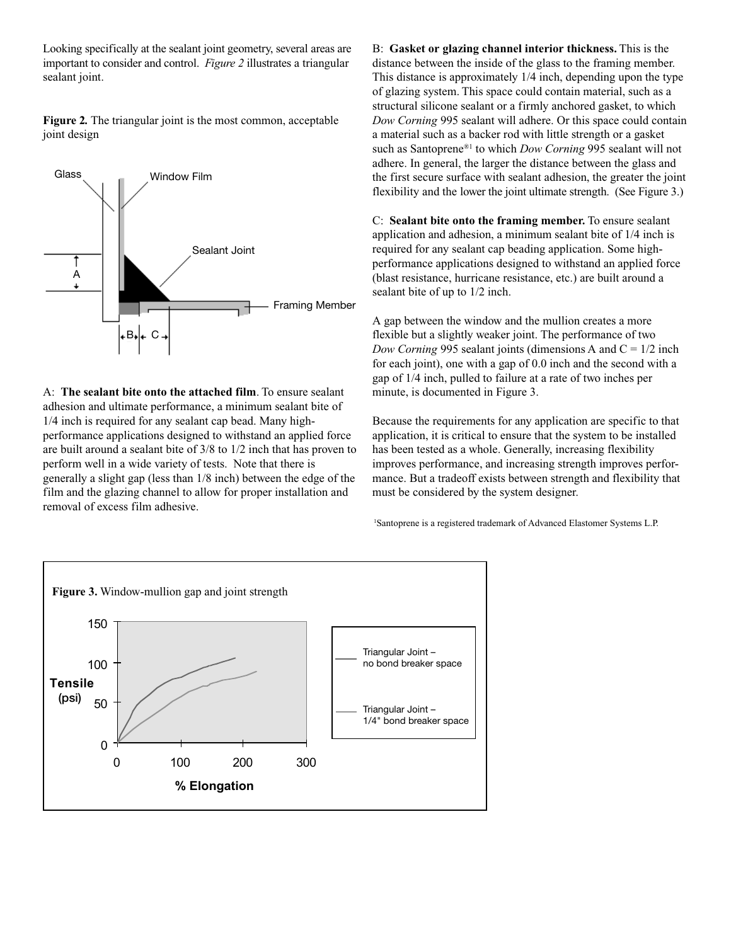Looking specifically at the sealant joint geometry, several areas are important to consider and control. *Figure 2* illustrates a triangular sealant joint.

**Figure 2***.* The triangular joint is the most common, acceptable joint design



A: **The sealant bite onto the attached film**. To ensure sealant adhesion and ultimate performance, a minimum sealant bite of 1/4 inch is required for any sealant cap bead. Many highperformance applications designed to withstand an applied force are built around a sealant bite of 3/8 to 1/2 inch that has proven to perform well in a wide variety of tests. Note that there is generally a slight gap (less than 1/8 inch) between the edge of the film and the glazing channel to allow for proper installation and removal of excess film adhesive.

B: **Gasket or glazing channel interior thickness.** This is the distance between the inside of the glass to the framing member. This distance is approximately 1/4 inch, depending upon the type of glazing system. This space could contain material, such as a structural silicone sealant or a firmly anchored gasket, to which *Dow Corning* 995 sealant will adhere. Or this space could contain a material such as a backer rod with little strength or a gasket such as Santoprene®1 to which *Dow Corning* 995 sealant will not adhere. In general, the larger the distance between the glass and the first secure surface with sealant adhesion, the greater the joint flexibility and the lower the joint ultimate strength. (See Figure 3.)

C: **Sealant bite onto the framing member.** To ensure sealant application and adhesion, a minimum sealant bite of 1/4 inch is required for any sealant cap beading application. Some highperformance applications designed to withstand an applied force (blast resistance, hurricane resistance, etc.) are built around a sealant bite of up to 1/2 inch.

A gap between the window and the mullion creates a more flexible but a slightly weaker joint. The performance of two *Dow Corning* 995 sealant joints (dimensions A and  $C = 1/2$  inch for each joint), one with a gap of 0.0 inch and the second with a gap of 1/4 inch, pulled to failure at a rate of two inches per minute, is documented in Figure 3.

Because the requirements for any application are specific to that application, it is critical to ensure that the system to be installed has been tested as a whole. Generally, increasing flexibility improves performance, and increasing strength improves performance. But a tradeoff exists between strength and flexibility that must be considered by the system designer.

1 Santoprene is a registered trademark of Advanced Elastomer Systems L.P.

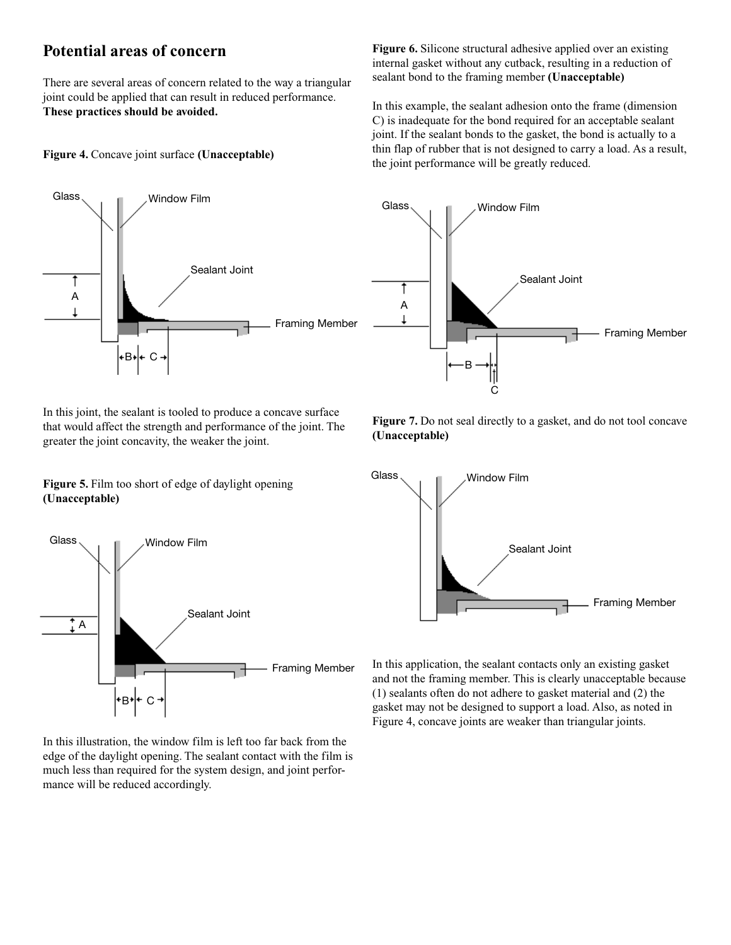### **Potential areas of concern**

There are several areas of concern related to the way a triangular joint could be applied that can result in reduced performance. **These practices should be avoided.**

#### **Figure 4.** Concave joint surface **(Unacceptable)**



In this joint, the sealant is tooled to produce a concave surface that would affect the strength and performance of the joint. The greater the joint concavity, the weaker the joint.

**Figure 5.** Film too short of edge of daylight opening **(Unacceptable)**



In this illustration, the window film is left too far back from the edge of the daylight opening. The sealant contact with the film is much less than required for the system design, and joint performance will be reduced accordingly.

**Figure 6.** Silicone structural adhesive applied over an existing internal gasket without any cutback, resulting in a reduction of sealant bond to the framing member **(Unacceptable)**

In this example, the sealant adhesion onto the frame (dimension C) is inadequate for the bond required for an acceptable sealant joint. If the sealant bonds to the gasket, the bond is actually to a thin flap of rubber that is not designed to carry a load. As a result, the joint performance will be greatly reduced.



**Figure 7.** Do not seal directly to a gasket, and do not tool concave **(Unacceptable)**



In this application, the sealant contacts only an existing gasket and not the framing member. This is clearly unacceptable because (1) sealants often do not adhere to gasket material and (2) the gasket may not be designed to support a load. Also, as noted in Figure 4, concave joints are weaker than triangular joints.